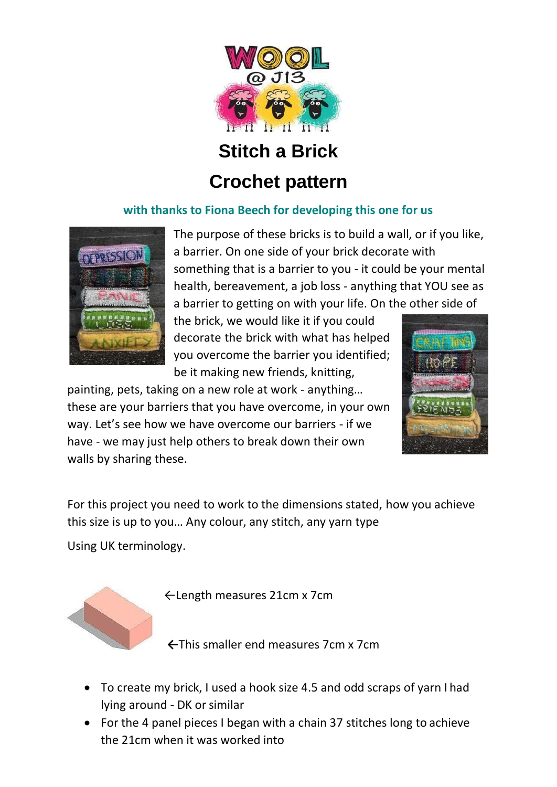

**Stitch a Brick** 

## **Crochet pattern**

## **with thanks to Fiona Beech for developing this one for us**



The purpose of these bricks is to build a wall, or if you like, a barrier. On one side of your brick decorate with something that is a barrier to you - it could be your mental health, bereavement, a job loss - anything that YOU see as a barrier to getting on with your life. On the other side of

the brick, we would like it if you could decorate the brick with what has helped you overcome the barrier you identified; be it making new friends, knitting,



painting, pets, taking on a new role at work - anything… these are your barriers that you have overcome, in your own way. Let's see how we have overcome our barriers - if we have - we may just help others to break down their own walls by sharing these.

For this project you need to work to the dimensions stated, how you achieve this size is up to you… Any colour, any stitch, any yarn type

Using UK terminology.



←Length measures 21cm x 7cm

**←**This smaller end measures 7cm x 7cm

- To create my brick, I used a hook size 4.5 and odd scraps of yarn I had lying around - DK or similar
- For the 4 panel pieces I began with a chain 37 stitches long to achieve the 21cm when it was worked into